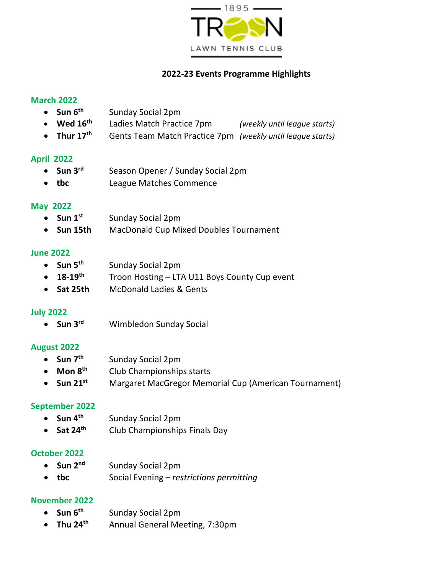

# **2022-23 Events Programme Highlights**

### **March 2022**

- $\bullet$  **Sun**  $6^{th}$ **th** Sunday Social 2pm
- **Wed 16th** Ladies Match Practice 7pm *(weekly until league starts)*
- **Thur 17th** Gents Team Match Practice 7pm *(weekly until league starts)*

### **April 2022**

- $\bullet$  Sun 3<sup>rd</sup> **Season Opener / Sunday Social 2pm**
- **tbc** League Matches Commence

### **May 2022**

- **Sun 1st** Sunday Social 2pm
- **Sun 15th** MacDonald Cup Mixed Doubles Tournament

#### **June 2022**

- **Sun 5th** Sunday Social 2pm
- **18-19th** Troon Hosting LTA U11 Boys County Cup event
- **Sat 25th** McDonald Ladies & Gents

# **July 2022**

 $\bullet$  **Sun**  $3^{rd}$ **Wimbledon Sunday Social** 

# **August 2022**

- **Sun 7th** Sunday Social 2pm
- **Mon 8 th** Club Championships starts
- **Sun 21st** Margaret MacGregor Memorial Cup (American Tournament)

# **September 2022**

- **Sun 4th** Sunday Social 2pm
- $\bullet$  Sat 24<sup>th</sup> **th** Club Championships Finals Day

# **October 2022**

• **Sun 2<sup>nd</sup>** Sunday Social 2pm • **tbc** Social Evening – *restrictions permitting*

# **November 2022**

- **Sun 6th** Sunday Social 2pm
- **Thu 24 th** Annual General Meeting, 7:30pm